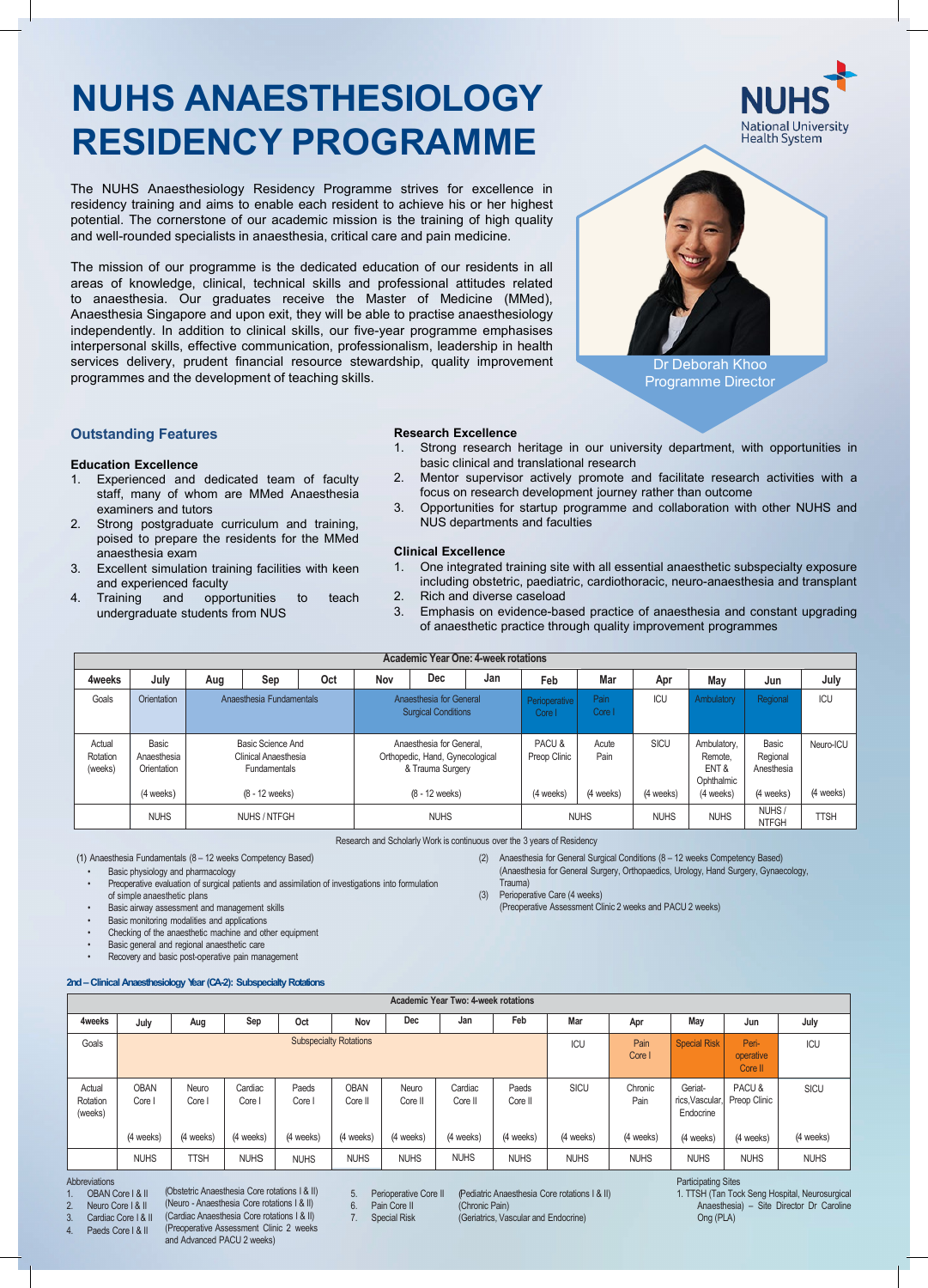# **NUHS ANAESTHESIOLOGY RESIDENCY PROGRAMME**

The NUHS Anaesthesiology Residency Programme strives for excellence in residency training and aims to enable each resident to achieve his or her highest potential. The cornerstone of our academic mission is the training of high quality and well-rounded specialists in anaesthesia, critical care and pain medicine.

The mission of our programme is the dedicated education of our residents in all areas of knowledge, clinical, technical skills and professional attitudes related to anaesthesia. Our graduates receive the Master of Medicine (MMed), Anaesthesia Singapore and upon exit, they will be able to practise anaesthesiology independently. In addition to clinical skills, our five-year programme emphasises interpersonal skills, effective communication, professionalism, leadership in health services delivery, prudent financial resource stewardship, quality improvement programmes and the development of teaching skills.



# **Outstanding Features**

#### **Education Excellence**

- 1. Experienced and dedicated team of faculty staff, many of whom are MMed Anaesthesia examiners and tutors
- 2. Strong postgraduate curriculum and training, poised to prepare the residents for the MMed anaesthesia exam
- 3. Excellent simulation training facilities with keen and experienced faculty
- 4. Training and opportunities to teach undergraduate students from NUS

#### **Research Excellence**

- 1. Strong research heritage in our university department, with opportunities in basic clinical and translational research
- 2. Mentor supervisor actively promote and facilitate research activities with a focus on research development journey rather than outcome
- 3. Opportunities for startup programme and collaboration with other NUHS and NUS departments and faculties

#### **Clinical Excellence**

- 1. One integrated training site with all essential anaesthetic subspecialty exposure including obstetric, paediatric, cardiothoracic, neuro-anaesthesia and transplant 2. Rich and diverse caseload
- 
- 3. Emphasis on evidence-based practice of anaesthesia and constant upgrading of anaesthetic practice through quality improvement programmes

(2) Anaesthesia for General Surgical Conditions (8 – 12 weeks Competency Based) (Anaesthesia for General Surgery, Orthopaedics, Urology, Hand Surgery, Gynaecology,

(Preoperative Assessment Clinic 2 weeks and PACU 2 weeks)

|                               | Academic Year One: 4-week rotations              |                                                                                             |              |     |                                                                                                     |            |     |                                    |                            |                          |                                                            |                                              |                        |  |
|-------------------------------|--------------------------------------------------|---------------------------------------------------------------------------------------------|--------------|-----|-----------------------------------------------------------------------------------------------------|------------|-----|------------------------------------|----------------------------|--------------------------|------------------------------------------------------------|----------------------------------------------|------------------------|--|
| 4weeks                        | July                                             | Aug                                                                                         | Sep          | Oct | Nov                                                                                                 | <b>Dec</b> | Jan | Feb                                | Mar                        | Apr                      | May                                                        | Jun                                          | July                   |  |
| Goals                         | Orientation                                      | Anaesthesia Fundamentals                                                                    |              |     | Anaesthesia for General<br><b>Surgical Conditions</b>                                               |            |     | Perioperative<br>Core I            | Pain<br>Core I             | ICU                      | Ambulatory                                                 | Regional                                     | ICU                    |  |
| Actual<br>Rotation<br>(weeks) | Basic<br>Anaesthesia<br>Orientation<br>(4 weeks) | <b>Basic Science And</b><br>Clinical Anaesthesia<br><b>Fundamentals</b><br>$(8 - 12$ weeks) |              |     | Anaesthesia for General.<br>Orthopedic, Hand, Gynecological<br>& Trauma Surgery<br>$(8 - 12$ weeks) |            |     | PACU&<br>Preop Clinic<br>(4 weeks) | Acute<br>Pain<br>(4 weeks) | <b>SICU</b><br>(4 weeks) | Ambulatory,<br>Remote,<br>ENT &<br>Ophthalmic<br>(4 weeks) | Basic<br>Regional<br>Anesthesia<br>(4 weeks) | Neuro-ICU<br>(4 weeks) |  |
|                               | <b>NUHS</b>                                      |                                                                                             | NUHS / NTFGH |     | <b>NUHS</b>                                                                                         |            |     | <b>NUHS</b>                        |                            | <b>NUHS</b>              | <b>NUHS</b>                                                | NUHS/<br><b>NTFGH</b>                        | <b>TTSH</b>            |  |

Research and Scholarly Work is continuous over the 3 years of Residency

Trauma)

(3) Perioperative Care (4 weeks)

(1) Anaesthesia Fundamentals (8 – 12 weeks Competency Based) • Basic physiology and pharmacology

Preoperative evaluation of surgical patients and assimilation of investigations into formulation of simple anaesthetic plans

- Basic airway assessment and management skills
- Basic monitoring modalities and applications

• Checking of the anaesthetic machine and other equipment

- Basic general and regional anaesthetic care
- Recovery and basic post-operative pain management

### **2nd– Clinical Anaesthesiology Year(CA-2): Subspecialty Rotations**

|                               | Academic Year Two: 4-week rotations |               |                 |                 |                        |                  |                    |                  |             |                 |                                           |                               |             |  |
|-------------------------------|-------------------------------------|---------------|-----------------|-----------------|------------------------|------------------|--------------------|------------------|-------------|-----------------|-------------------------------------------|-------------------------------|-------------|--|
| 4weeks                        | July                                | Aug           | Sep             | Oct             | Nov                    | Dec              | Jan                | Feb              | Mar         | Apr             | May                                       | Jun                           | July        |  |
| Goals                         | <b>Subspecialty Rotations</b>       |               |                 |                 |                        |                  |                    |                  |             | Pain<br>Core I  | <b>Special Risk</b>                       | Peri-<br>operative<br>Core II | ICU         |  |
| Actual<br>Rotation<br>(weeks) | <b>OBAN</b><br>Core I               | Neuro<br>Core | Cardiac<br>Core | Paeds<br>Core I | <b>OBAN</b><br>Core II | Neuro<br>Core II | Cardiac<br>Core II | Paeds<br>Core II | SICU        | Chronic<br>Pain | Geriat-<br>rics, Vascular, I<br>Endocrine | PACU&<br>Preop Clinic         | <b>SICU</b> |  |
|                               | (4 weeks)                           | (4 weeks)     | (4 weeks)       | (4 weeks)       | (4 weeks)              | (4 weeks)        | (4 weeks)          | (4 weeks)        | (4 weeks)   | (4 weeks)       | (4 weeks)                                 | (4 weeks)                     | (4 weeks)   |  |
|                               | <b>NUHS</b>                         | <b>TTSH</b>   | <b>NUHS</b>     | <b>NUHS</b>     | <b>NUHS</b>            | <b>NUHS</b>      | <b>NUHS</b>        | <b>NUHS</b>      | <b>NUHS</b> | <b>NUHS</b>     | <b>NUHS</b>                               | <b>NUHS</b>                   | <b>NUHS</b> |  |

Abbreviations

- (Obstetric Anaesthesia Core rotations I & II) OBAN Core I & II
- (Neuro Anaesthesia Core rotations I & II) Neuro Core I & II

3. Cardiac Core | & II

(Cardiac Anaesthesia Core rotations I & II) (Preoperative Assessment Clinic 2 weeks and Advanced PACU 2 weeks) 4. Paeds Core | & ||

- 5. Perioperative Core II<br>6. Pain Core II
- 6. Pain Core II<br>7. Special Risk **Special Risk**

(Pediatric Anaesthesia Core rotations I & II) (Chronic Pain)

(Geriatrics, Vascular and Endocrine)

Participating Sites

1. TTSH (Tan Tock Seng Hospital, Neurosurgical<br>Anaesthesia) – Site Director Dr Caroline – Site Director Dr Caroline Ong (PLA)